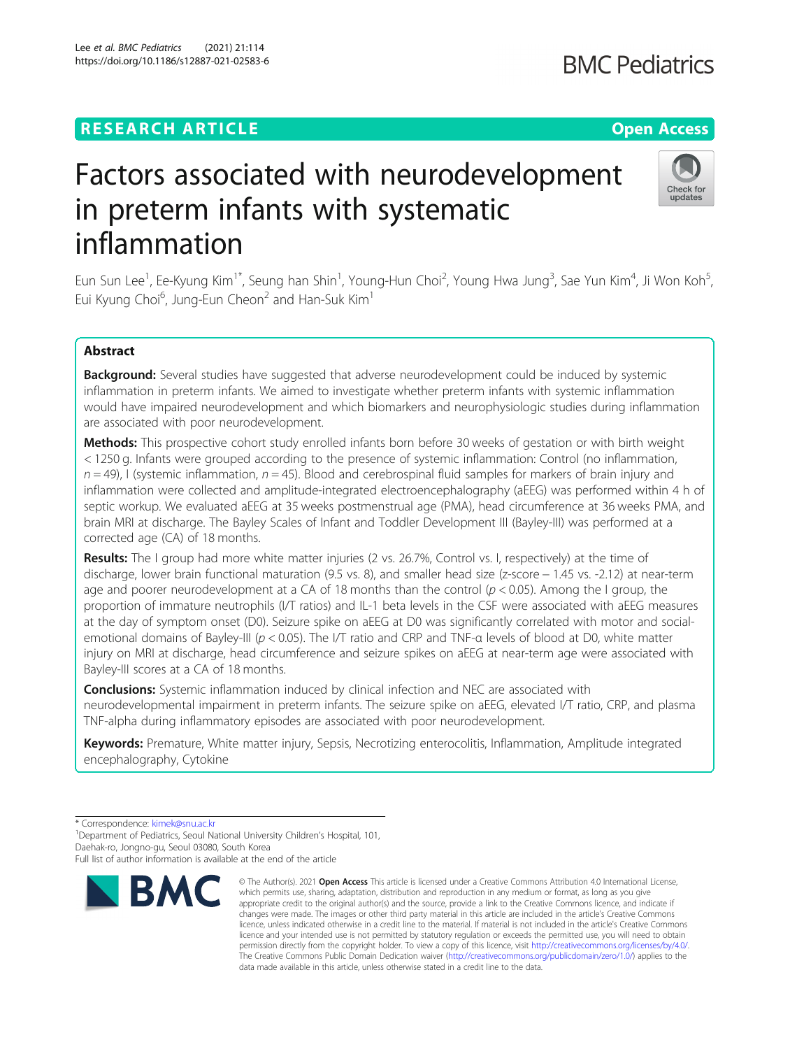## **RESEARCH ARTICLE Example 2014 12:30 The Contract of Contract ACCESS**

# Factors associated with neurodevelopment in preterm infants with systematic inflammation

Eun Sun Lee<sup>1</sup>, Ee-Kyung Kim<sup>1\*</sup>, Seung han Shin<sup>1</sup>, Young-Hun Choi<sup>2</sup>, Young Hwa Jung<sup>3</sup>, Sae Yun Kim<sup>4</sup>, Ji Won Koh<sup>5</sup> , Eui Kyung Choi $^6$ , Jung-Eun Cheon $^2$  and Han-Suk Kim $^1$ 

### Abstract

**Background:** Several studies have suggested that adverse neurodevelopment could be induced by systemic inflammation in preterm infants. We aimed to investigate whether preterm infants with systemic inflammation would have impaired neurodevelopment and which biomarkers and neurophysiologic studies during inflammation are associated with poor neurodevelopment.

Methods: This prospective cohort study enrolled infants born before 30 weeks of gestation or with birth weight < 1250 g. Infants were grouped according to the presence of systemic inflammation: Control (no inflammation,  $n = 49$ ), I (systemic inflammation,  $n = 45$ ). Blood and cerebrospinal fluid samples for markers of brain injury and inflammation were collected and amplitude-integrated electroencephalography (aEEG) was performed within 4 h of septic workup. We evaluated aEEG at 35 weeks postmenstrual age (PMA), head circumference at 36 weeks PMA, and brain MRI at discharge. The Bayley Scales of Infant and Toddler Development III (Bayley-III) was performed at a corrected age (CA) of 18 months.

Results: The I group had more white matter injuries (2 vs. 26.7%, Control vs. I, respectively) at the time of discharge, lower brain functional maturation (9.5 vs. 8), and smaller head size (z-score − 1.45 vs. -2.12) at near-term age and poorer neurodevelopment at a CA of 18 months than the control ( $p < 0.05$ ). Among the I group, the proportion of immature neutrophils (I/T ratios) and IL-1 beta levels in the CSF were associated with aEEG measures at the day of symptom onset (D0). Seizure spike on aEEG at D0 was significantly correlated with motor and socialemotional domains of Bayley-III (p < 0.05). The I/T ratio and CRP and TNF-α levels of blood at D0, white matter injury on MRI at discharge, head circumference and seizure spikes on aEEG at near-term age were associated with Bayley-III scores at a CA of 18 months.

**Conclusions:** Systemic inflammation induced by clinical infection and NEC are associated with neurodevelopmental impairment in preterm infants. The seizure spike on aEEG, elevated I/T ratio, CRP, and plasma TNF-alpha during inflammatory episodes are associated with poor neurodevelopment.

Keywords: Premature, White matter injury, Sepsis, Necrotizing enterocolitis, Inflammation, Amplitude integrated encephalography, Cytokine

\* Correspondence: [kimek@snu.ac.kr](mailto:kimek@snu.ac.kr) <sup>1</sup>

<sup>1</sup> Department of Pediatrics, Seoul National University Children's Hospital, 101, Daehak-ro, Jongno-gu, Seoul 03080, South Korea



<sup>©</sup> The Author(s), 2021 **Open Access** This article is licensed under a Creative Commons Attribution 4.0 International License, which permits use, sharing, adaptation, distribution and reproduction in any medium or format, as long as you give appropriate credit to the original author(s) and the source, provide a link to the Creative Commons licence, and indicate if changes were made. The images or other third party material in this article are included in the article's Creative Commons licence, unless indicated otherwise in a credit line to the material. If material is not included in the article's Creative Commons licence and your intended use is not permitted by statutory regulation or exceeds the permitted use, you will need to obtain permission directly from the copyright holder. To view a copy of this licence, visit [http://creativecommons.org/licenses/by/4.0/.](http://creativecommons.org/licenses/by/4.0/) The Creative Commons Public Domain Dedication waiver [\(http://creativecommons.org/publicdomain/zero/1.0/](http://creativecommons.org/publicdomain/zero/1.0/)) applies to the data made available in this article, unless otherwise stated in a credit line to the data.



Full list of author information is available at the end of the article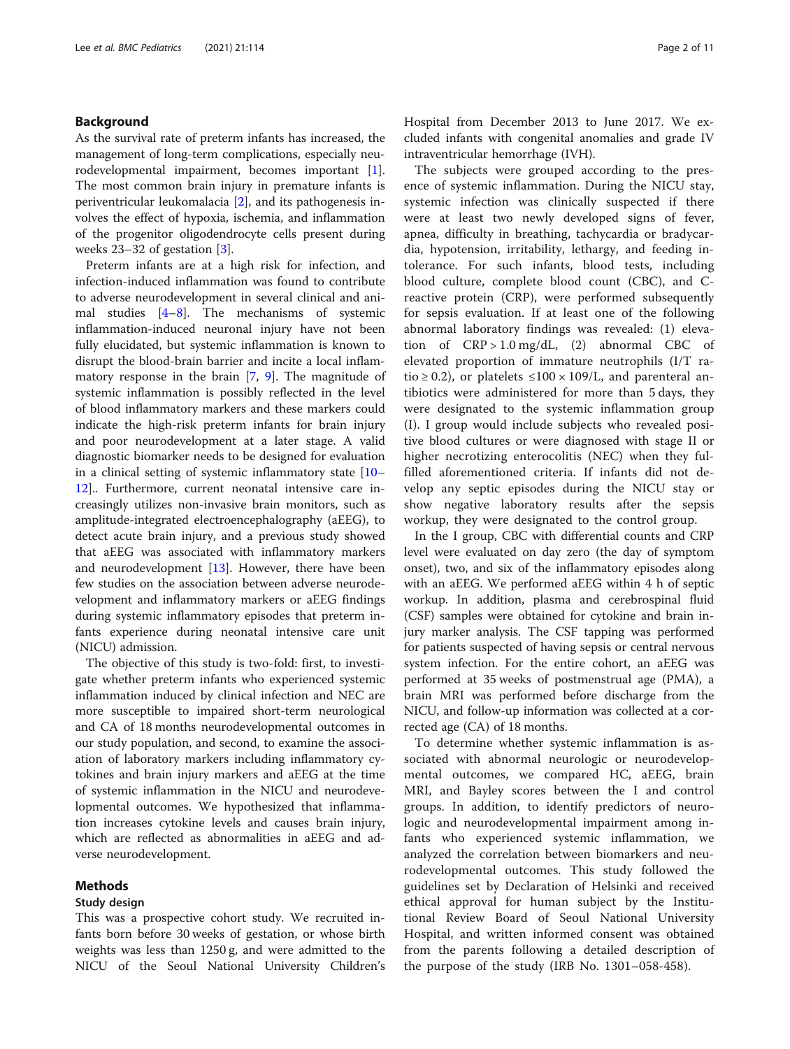#### Background

As the survival rate of preterm infants has increased, the management of long-term complications, especially neurodevelopmental impairment, becomes important [\[1](#page-9-0)]. The most common brain injury in premature infants is periventricular leukomalacia [\[2](#page-9-0)], and its pathogenesis involves the effect of hypoxia, ischemia, and inflammation of the progenitor oligodendrocyte cells present during weeks 23–32 of gestation [\[3](#page-9-0)].

Preterm infants are at a high risk for infection, and infection-induced inflammation was found to contribute to adverse neurodevelopment in several clinical and animal studies [\[4](#page-9-0)–[8\]](#page-9-0). The mechanisms of systemic inflammation-induced neuronal injury have not been fully elucidated, but systemic inflammation is known to disrupt the blood-brain barrier and incite a local inflammatory response in the brain [\[7](#page-9-0), [9\]](#page-9-0). The magnitude of systemic inflammation is possibly reflected in the level of blood inflammatory markers and these markers could indicate the high-risk preterm infants for brain injury and poor neurodevelopment at a later stage. A valid diagnostic biomarker needs to be designed for evaluation in a clinical setting of systemic inflammatory state [[10](#page-9-0)– [12\]](#page-9-0).. Furthermore, current neonatal intensive care increasingly utilizes non-invasive brain monitors, such as amplitude-integrated electroencephalography (aEEG), to detect acute brain injury, and a previous study showed that aEEG was associated with inflammatory markers and neurodevelopment [\[13](#page-9-0)]. However, there have been few studies on the association between adverse neurodevelopment and inflammatory markers or aEEG findings during systemic inflammatory episodes that preterm infants experience during neonatal intensive care unit (NICU) admission.

The objective of this study is two-fold: first, to investigate whether preterm infants who experienced systemic inflammation induced by clinical infection and NEC are more susceptible to impaired short-term neurological and CA of 18 months neurodevelopmental outcomes in our study population, and second, to examine the association of laboratory markers including inflammatory cytokines and brain injury markers and aEEG at the time of systemic inflammation in the NICU and neurodevelopmental outcomes. We hypothesized that inflammation increases cytokine levels and causes brain injury, which are reflected as abnormalities in aEEG and adverse neurodevelopment.

#### Methods

#### Study design

This was a prospective cohort study. We recruited infants born before 30 weeks of gestation, or whose birth weights was less than 1250 g, and were admitted to the NICU of the Seoul National University Children's Hospital from December 2013 to June 2017. We excluded infants with congenital anomalies and grade IV intraventricular hemorrhage (IVH).

The subjects were grouped according to the presence of systemic inflammation. During the NICU stay, systemic infection was clinically suspected if there were at least two newly developed signs of fever, apnea, difficulty in breathing, tachycardia or bradycardia, hypotension, irritability, lethargy, and feeding intolerance. For such infants, blood tests, including blood culture, complete blood count (CBC), and Creactive protein (CRP), were performed subsequently for sepsis evaluation. If at least one of the following abnormal laboratory findings was revealed: (1) elevation of CRP > 1.0 mg/dL, (2) abnormal CBC of elevated proportion of immature neutrophils (I/T ratio  $\geq$  0.2), or platelets  $\leq$  100  $\times$  109/L, and parenteral antibiotics were administered for more than 5 days, they were designated to the systemic inflammation group (I). I group would include subjects who revealed positive blood cultures or were diagnosed with stage II or higher necrotizing enterocolitis (NEC) when they fulfilled aforementioned criteria. If infants did not develop any septic episodes during the NICU stay or show negative laboratory results after the sepsis workup, they were designated to the control group.

In the I group, CBC with differential counts and CRP level were evaluated on day zero (the day of symptom onset), two, and six of the inflammatory episodes along with an aEEG. We performed aEEG within 4 h of septic workup. In addition, plasma and cerebrospinal fluid (CSF) samples were obtained for cytokine and brain injury marker analysis. The CSF tapping was performed for patients suspected of having sepsis or central nervous system infection. For the entire cohort, an aEEG was performed at 35 weeks of postmenstrual age (PMA), a brain MRI was performed before discharge from the NICU, and follow-up information was collected at a corrected age (CA) of 18 months.

To determine whether systemic inflammation is associated with abnormal neurologic or neurodevelopmental outcomes, we compared HC, aEEG, brain MRI, and Bayley scores between the I and control groups. In addition, to identify predictors of neurologic and neurodevelopmental impairment among infants who experienced systemic inflammation, we analyzed the correlation between biomarkers and neurodevelopmental outcomes. This study followed the guidelines set by Declaration of Helsinki and received ethical approval for human subject by the Institutional Review Board of Seoul National University Hospital, and written informed consent was obtained from the parents following a detailed description of the purpose of the study (IRB No. 1301–058-458).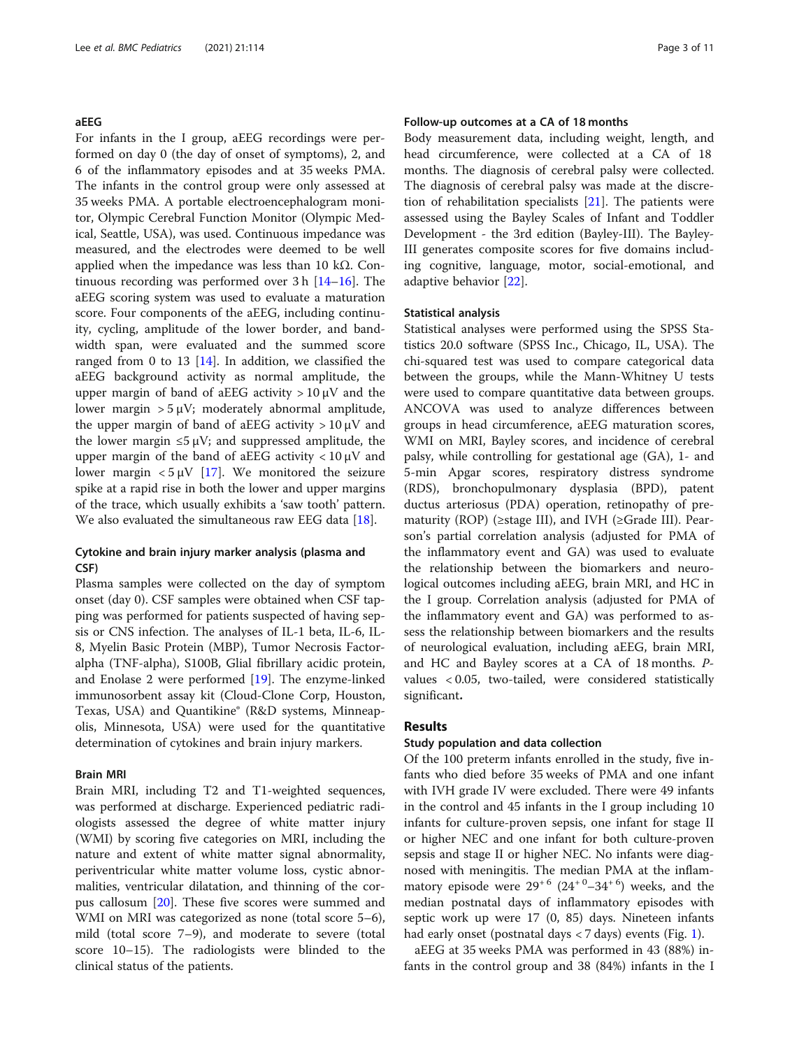#### aEEG

For infants in the I group, aEEG recordings were performed on day 0 (the day of onset of symptoms), 2, and 6 of the inflammatory episodes and at 35 weeks PMA. The infants in the control group were only assessed at 35 weeks PMA. A portable electroencephalogram monitor, Olympic Cerebral Function Monitor (Olympic Medical, Seattle, USA), was used. Continuous impedance was measured, and the electrodes were deemed to be well applied when the impedance was less than 10 kΩ. Continuous recording was performed over 3 h [[14](#page-9-0)–[16](#page-9-0)]. The aEEG scoring system was used to evaluate a maturation score. Four components of the aEEG, including continuity, cycling, amplitude of the lower border, and bandwidth span, were evaluated and the summed score ranged from 0 to 13 [\[14](#page-9-0)]. In addition, we classified the aEEG background activity as normal amplitude, the upper margin of band of aEEG activity  $> 10 \mu V$  and the lower margin  $> 5 \mu V$ ; moderately abnormal amplitude, the upper margin of band of aEEG activity  $> 10 \mu V$  and the lower margin  $\leq 5 \mu V$ ; and suppressed amplitude, the upper margin of the band of aEEG activity  $< 10 \mu V$  and lower margin  $< 5 \mu V$  [\[17](#page-9-0)]. We monitored the seizure spike at a rapid rise in both the lower and upper margins of the trace, which usually exhibits a 'saw tooth' pattern. We also evaluated the simultaneous raw EEG data [\[18\]](#page-9-0).

#### Cytokine and brain injury marker analysis (plasma and CSF)

Plasma samples were collected on the day of symptom onset (day 0). CSF samples were obtained when CSF tapping was performed for patients suspected of having sepsis or CNS infection. The analyses of IL-1 beta, IL-6, IL-8, Myelin Basic Protein (MBP), Tumor Necrosis Factoralpha (TNF-alpha), S100B, Glial fibrillary acidic protein, and Enolase 2 were performed [[19\]](#page-9-0). The enzyme-linked immunosorbent assay kit (Cloud-Clone Corp, Houston, Texas, USA) and Quantikine® (R&D systems, Minneapolis, Minnesota, USA) were used for the quantitative determination of cytokines and brain injury markers.

#### Brain MRI

Brain MRI, including T2 and T1-weighted sequences, was performed at discharge. Experienced pediatric radiologists assessed the degree of white matter injury (WMI) by scoring five categories on MRI, including the nature and extent of white matter signal abnormality, periventricular white matter volume loss, cystic abnormalities, ventricular dilatation, and thinning of the corpus callosum [\[20](#page-9-0)]. These five scores were summed and WMI on MRI was categorized as none (total score 5–6), mild (total score 7–9), and moderate to severe (total score 10–15). The radiologists were blinded to the clinical status of the patients.

#### Follow-up outcomes at a CA of 18 months

Body measurement data, including weight, length, and head circumference, were collected at a CA of 18 months. The diagnosis of cerebral palsy were collected. The diagnosis of cerebral palsy was made at the discretion of rehabilitation specialists  $[21]$  $[21]$ . The patients were assessed using the Bayley Scales of Infant and Toddler Development - the 3rd edition (Bayley-III). The Bayley-III generates composite scores for five domains including cognitive, language, motor, social-emotional, and adaptive behavior [[22\]](#page-9-0).

#### Statistical analysis

Statistical analyses were performed using the SPSS Statistics 20.0 software (SPSS Inc., Chicago, IL, USA). The chi-squared test was used to compare categorical data between the groups, while the Mann-Whitney U tests were used to compare quantitative data between groups. ANCOVA was used to analyze differences between groups in head circumference, aEEG maturation scores, WMI on MRI, Bayley scores, and incidence of cerebral palsy, while controlling for gestational age (GA), 1- and 5-min Apgar scores, respiratory distress syndrome (RDS), bronchopulmonary dysplasia (BPD), patent ductus arteriosus (PDA) operation, retinopathy of prematurity (ROP) ( $\geq$ stage III), and IVH ( $\geq$ Grade III). Pearson's partial correlation analysis (adjusted for PMA of the inflammatory event and GA) was used to evaluate the relationship between the biomarkers and neurological outcomes including aEEG, brain MRI, and HC in the I group. Correlation analysis (adjusted for PMA of the inflammatory event and GA) was performed to assess the relationship between biomarkers and the results of neurological evaluation, including aEEG, brain MRI, and HC and Bayley scores at a CA of 18 months. Pvalues < 0.05, two-tailed, were considered statistically significant.

#### Results

#### Study population and data collection

Of the 100 preterm infants enrolled in the study, five infants who died before 35 weeks of PMA and one infant with IVH grade IV were excluded. There were 49 infants in the control and 45 infants in the I group including 10 infants for culture-proven sepsis, one infant for stage II or higher NEC and one infant for both culture-proven sepsis and stage II or higher NEC. No infants were diagnosed with meningitis. The median PMA at the inflammatory episode were  $29^{+6}$   $(24^{+0}-34^{+6})$  weeks, and the median postnatal days of inflammatory episodes with septic work up were 17 (0, 85) days. Nineteen infants had early onset (postnatal days  $<$  7 days) events (Fig. [1\)](#page-3-0).

aEEG at 35 weeks PMA was performed in 43 (88%) infants in the control group and 38 (84%) infants in the I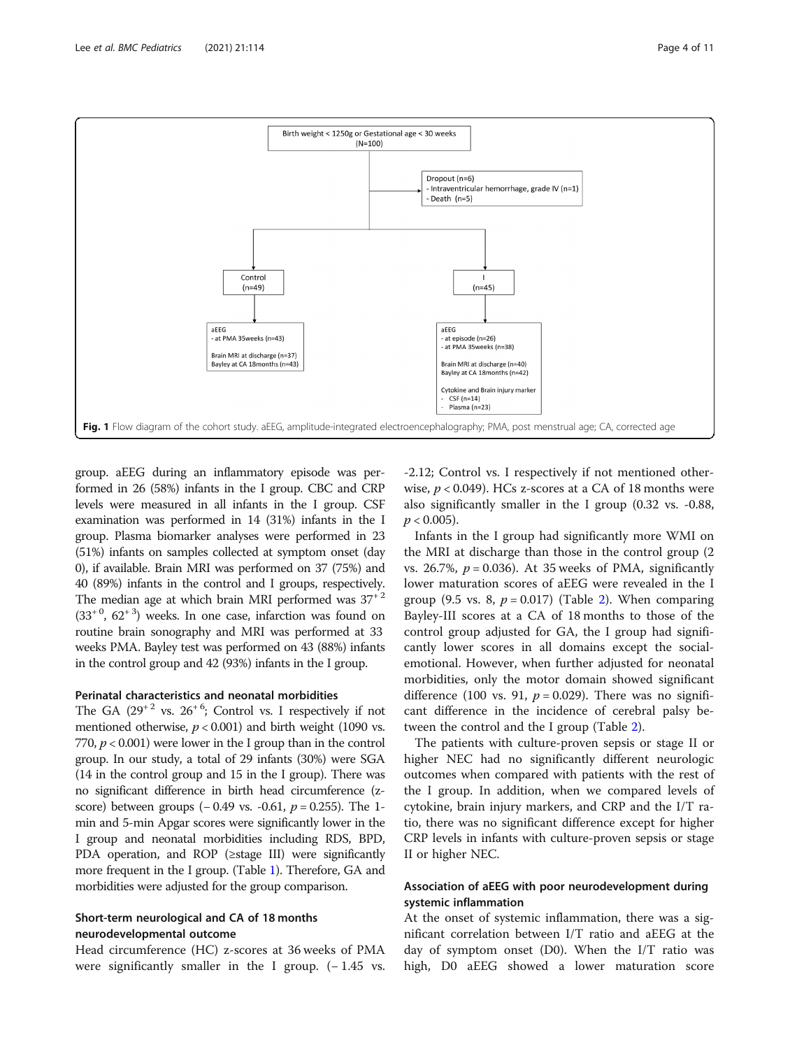<span id="page-3-0"></span>

group. aEEG during an inflammatory episode was performed in 26 (58%) infants in the I group. CBC and CRP levels were measured in all infants in the I group. CSF examination was performed in 14 (31%) infants in the I group. Plasma biomarker analyses were performed in 23 (51%) infants on samples collected at symptom onset (day 0), if available. Brain MRI was performed on 37 (75%) and 40 (89%) infants in the control and I groups, respectively. The median age at which brain MRI performed was  $37+2$  $(33<sup>+0</sup>, 62<sup>+3</sup>)$  weeks. In one case, infarction was found on routine brain sonography and MRI was performed at 33 weeks PMA. Bayley test was performed on 43 (88%) infants in the control group and 42 (93%) infants in the I group.

#### Perinatal characteristics and neonatal morbidities

The GA  $(29^{+2}$  vs.  $26^{+6}$ ; Control vs. I respectively if not mentioned otherwise,  $p < 0.001$ ) and birth weight (1090 vs. 770,  $p < 0.001$ ) were lower in the I group than in the control group. In our study, a total of 29 infants (30%) were SGA (14 in the control group and 15 in the I group). There was no significant difference in birth head circumference (zscore) between groups  $(-0.49 \text{ vs. } -0.61, p = 0.255)$ . The 1min and 5-min Apgar scores were significantly lower in the I group and neonatal morbidities including RDS, BPD, PDA operation, and ROP (≥stage III) were significantly more frequent in the I group. (Table [1\)](#page-4-0). Therefore, GA and morbidities were adjusted for the group comparison.

#### Short-term neurological and CA of 18 months neurodevelopmental outcome

Head circumference (HC) z-scores at 36 weeks of PMA were significantly smaller in the I group.  $(-1.45 \text{ vs.})$ 

-2.12; Control vs. I respectively if not mentioned otherwise,  $p < 0.049$ ). HCs z-scores at a CA of 18 months were also significantly smaller in the I group (0.32 vs. -0.88,  $p < 0.005$ ).

Infants in the I group had significantly more WMI on the MRI at discharge than those in the control group (2 vs. 26.7%,  $p = 0.036$ ). At 35 weeks of PMA, significantly lower maturation scores of aEEG were revealed in the I group (9.5 vs. 8,  $p = 0.017$ ) (Table [2](#page-5-0)). When comparing Bayley-III scores at a CA of 18 months to those of the control group adjusted for GA, the I group had significantly lower scores in all domains except the socialemotional. However, when further adjusted for neonatal morbidities, only the motor domain showed significant difference (100 vs. 91,  $p = 0.029$ ). There was no significant difference in the incidence of cerebral palsy between the control and the I group (Table [2](#page-5-0)).

The patients with culture-proven sepsis or stage II or higher NEC had no significantly different neurologic outcomes when compared with patients with the rest of the I group. In addition, when we compared levels of cytokine, brain injury markers, and CRP and the I/T ratio, there was no significant difference except for higher CRP levels in infants with culture-proven sepsis or stage II or higher NEC.

#### Association of aEEG with poor neurodevelopment during systemic inflammation

At the onset of systemic inflammation, there was a significant correlation between I/T ratio and aEEG at the day of symptom onset (D0). When the I/T ratio was high, D0 aEEG showed a lower maturation score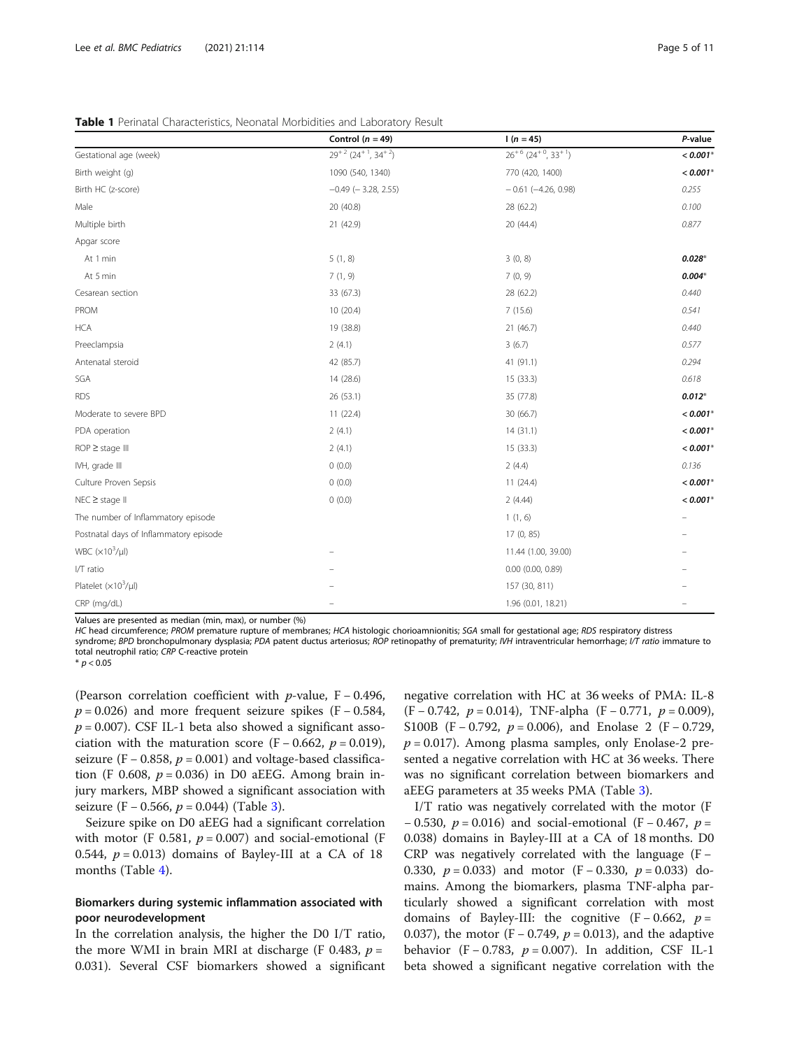|                                        | Control $(n = 49)$        | $1(n = 45)$                                      | P-value    |
|----------------------------------------|---------------------------|--------------------------------------------------|------------|
| Gestational age (week)                 | $29+2$ $(24+1, 34+2)$     | $26^{+6}$ (24 <sup>+0</sup> , 33 <sup>+1</sup> ) | $< 0.001*$ |
| Birth weight (g)                       | 1090 (540, 1340)          | 770 (420, 1400)                                  | $< 0.001*$ |
| Birth HC (z-score)                     | $-0.49$ ( $-3.28$ , 2.55) | $-0.61$ (-4.26, 0.98)                            | 0.255      |
| Male                                   | 20 (40.8)                 | 28 (62.2)                                        | 0.100      |
| Multiple birth                         | 21 (42.9)                 | 20 (44.4)                                        | 0.877      |
| Apgar score                            |                           |                                                  |            |
| At 1 min                               | 5(1, 8)                   | 3(0, 8)                                          | $0.028*$   |
| At 5 min                               | 7(1, 9)                   | 7(0, 9)                                          | $0.004*$   |
| Cesarean section                       | 33 (67.3)                 | 28 (62.2)                                        | 0.440      |
| PROM                                   | 10 (20.4)                 | 7(15.6)                                          | 0.541      |
| <b>HCA</b>                             | 19 (38.8)                 | 21(46.7)                                         | 0.440      |
| Preeclampsia                           | 2(4.1)                    | 3(6.7)                                           | 0.577      |
| Antenatal steroid                      | 42 (85.7)                 | 41 (91.1)                                        | 0.294      |
| SGA                                    | 14 (28.6)                 | 15 (33.3)                                        | 0.618      |
| <b>RDS</b>                             | 26(53.1)                  | 35 (77.8)                                        | $0.012*$   |
| Moderate to severe BPD                 | 11(22.4)                  | 30 (66.7)                                        | $< 0.001*$ |
| PDA operation                          | 2(4.1)                    | 14(31.1)                                         | $< 0.001*$ |
| $ROP \geq stage$ III                   | 2(4.1)                    | 15(33.3)                                         | $< 0.001*$ |
| IVH, grade III                         | 0(0.0)                    | 2(4.4)                                           | 0.136      |
| Culture Proven Sepsis                  | 0(0.0)                    | 11(24.4)                                         | $< 0.001*$ |
| $NEC \geq stage$ II                    | 0(0.0)                    | 2(4.44)                                          | $< 0.001*$ |
| The number of Inflammatory episode     |                           | 1(1, 6)                                          |            |
| Postnatal days of Inflammatory episode |                           | 17 (0, 85)                                       |            |
| WBC $(x10^3/\mu l)$                    |                           | 11.44 (1.00, 39.00)                              |            |
| I/T ratio                              |                           | $0.00$ $(0.00, 0.89)$                            |            |
| Platelet $(x10^3/\mu l)$               |                           | 157 (30, 811)                                    |            |
| CRP (mg/dL)                            |                           | 1.96 (0.01, 18.21)                               |            |

<span id="page-4-0"></span>Table 1 Perinatal Characteristics, Neonatal Morbidities and Laboratory Result

Values are presented as median (min, max), or number (%)

HC head circumference; PROM premature rupture of membranes; HCA histologic chorioamnionitis; SGA small for gestational age; RDS respiratory distress syndrome; BPD bronchopulmonary dysplasia; PDA patent ductus arteriosus; ROP retinopathy of prematurity; IVH intraventricular hemorrhage; I/T ratio immature to total neutrophil ratio; CRP C-reactive protein

 $* p < 0.05$ 

(Pearson correlation coefficient with  $p$ -value, F – 0.496,  $p = 0.026$ ) and more frequent seizure spikes (F – 0.584,  $p = 0.007$ ). CSF IL-1 beta also showed a significant association with the maturation score (F – 0.662,  $p = 0.019$ ), seizure (F – 0.858,  $p = 0.001$ ) and voltage-based classification (F 0.608,  $p = 0.036$ ) in D0 aEEG. Among brain injury markers, MBP showed a significant association with seizure (F – 0.566,  $p = 0.044$ ) (Table [3](#page-6-0)).

Seizure spike on D0 aEEG had a significant correlation with motor (F 0.581,  $p = 0.007$ ) and social-emotional (F 0.544,  $p = 0.013$ ) domains of Bayley-III at a CA of 18 months (Table [4\)](#page-7-0).

#### Biomarkers during systemic inflammation associated with poor neurodevelopment

In the correlation analysis, the higher the D0 I/T ratio, the more WMI in brain MRI at discharge (F 0.483,  $p =$ 0.031). Several CSF biomarkers showed a significant

negative correlation with HC at 36 weeks of PMA: IL-8 (F – 0.742,  $p = 0.014$ ), TNF-alpha (F – 0.771,  $p = 0.009$ ), S100B (F – 0.792,  $p = 0.006$ ), and Enolase 2 (F – 0.729,  $p = 0.017$ ). Among plasma samples, only Enolase-2 presented a negative correlation with HC at 36 weeks. There was no significant correlation between biomarkers and aEEG parameters at 35 weeks PMA (Table [3\)](#page-6-0).

I/T ratio was negatively correlated with the motor (F − 0.530,  $p = 0.016$ ) and social-emotional (F − 0.467,  $p =$ 0.038) domains in Bayley-III at a CA of 18 months. D0 CRP was negatively correlated with the language (F − 0.330,  $p = 0.033$ ) and motor (F − 0.330,  $p = 0.033$ ) domains. Among the biomarkers, plasma TNF-alpha particularly showed a significant correlation with most domains of Bayley-III: the cognitive  $(F - 0.662, p =$ 0.037), the motor (F – 0.749,  $p = 0.013$ ), and the adaptive behavior (F – 0.783,  $p = 0.007$ ). In addition, CSF IL-1 beta showed a significant negative correlation with the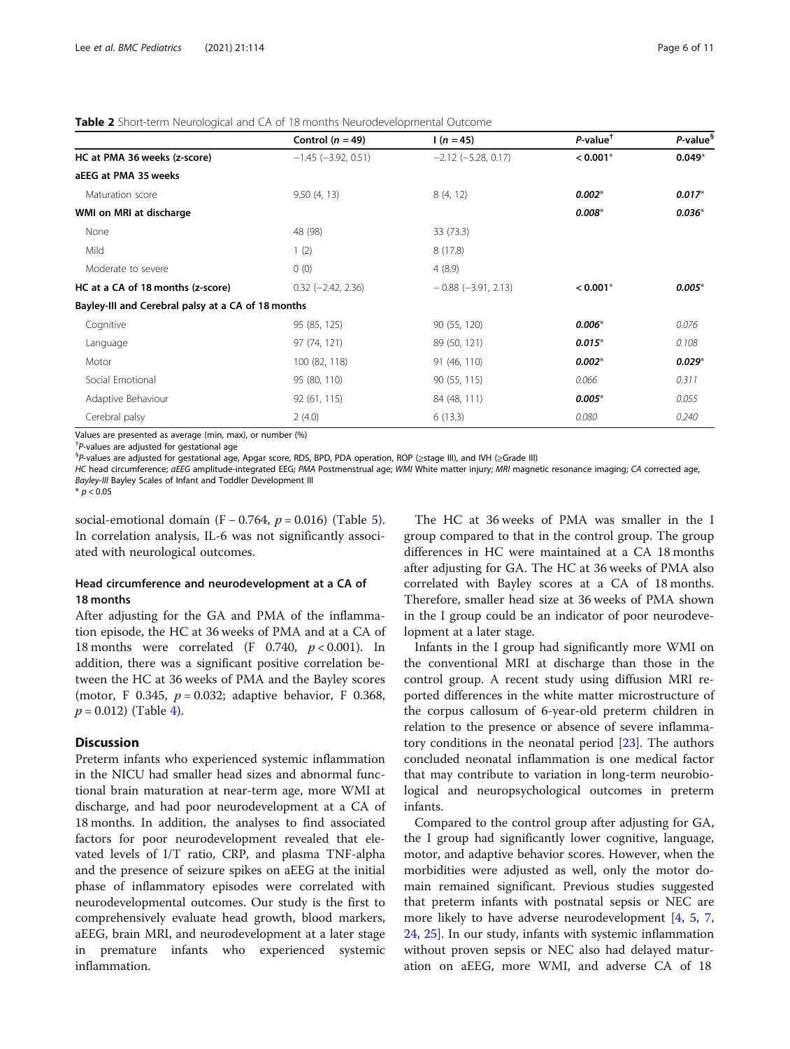<span id="page-5-0"></span>

|                                                    | Control $(n = 49)$        | $1(n = 45)$               | $P$ -value <sup>†</sup> | P-value <sup>§</sup> |
|----------------------------------------------------|---------------------------|---------------------------|-------------------------|----------------------|
| HC at PMA 36 weeks (z-score)                       | $-1.45$ ( $-3.92$ , 0.51) | $-2.12$ ( $-5.28$ , 0.17) | $< 0.001*$              | $0.049*$             |
| aEEG at PMA 35 weeks                               |                           |                           |                         |                      |
| Maturation score                                   | 9.50(4, 13)               | 8(4, 12)                  | $0.002*$                | $0.017*$             |
| WMI on MRI at discharge                            |                           |                           | $0.008*$                | $0.036*$             |
| None                                               | 48 (98)                   | 33 (73.3)                 |                         |                      |
| Mild                                               | 1(2)                      | 8(17.8)                   |                         |                      |
| Moderate to severe                                 | 0(0)                      | 4(8.9)                    |                         |                      |
| HC at a CA of 18 months (z-score)                  | $0.32$ (-2.42, 2.36)      | $-0.88$ ( $-3.91$ , 2.13) | $< 0.001*$              | $0.005*$             |
| Bayley-III and Cerebral palsy at a CA of 18 months |                           |                           |                         |                      |
| Cognitive                                          | 95 (85, 125)              | 90 (55, 120)              | $0.006*$                | 0.076                |
| Language                                           | 97 (74, 121)              | 89 (50, 121)              | $0.015*$                | 0.108                |
| Motor                                              | 100 (82, 118)             | 91 (46, 110)              | $0.002*$                | $0.029*$             |
| Social Emotional                                   | 95 (80, 110)              | 90 (55, 115)              | 0.066                   | 0.311                |
| Adaptive Behaviour                                 | 92 (61, 115)              | 84 (48, 111)              | $0.005*$                | 0.055                |
| Cerebral palsy                                     | 2(4.0)                    | 6(13.3)                   | 0.080                   | 0.240                |

Values are presented as average (min, max), or number (%)

 $+$ P-values are adjusted for gestational age<br> ${}_{5}^{6}P$  values are adjusted for gestational age P-values are adjusted for gestational age, Apgar score, RDS, BPD, PDA operation, ROP (≥stage III), and IVH (≥Grade III)

HC head circumference; aEEG amplitude-integrated EEG; PMA Postmenstrual age; WMI White matter injury; MRI magnetic resonance imaging; CA corrected age, Bayley-III Bayley Scales of Infant and Toddler Development III

 $*$   $p < 0.05$ 

social-emotional domain (F – 0.764,  $p = 0.016$ ) (Table [5](#page-7-0)). In correlation analysis, IL-6 was not significantly associated with neurological outcomes.

#### Head circumference and neurodevelopment at a CA of 18 months

After adjusting for the GA and PMA of the inflammation episode, the HC at 36 weeks of PMA and at a CA of 18 months were correlated (F 0.740,  $p < 0.001$ ). In addition, there was a significant positive correlation between the HC at 36 weeks of PMA and the Bayley scores (motor, F 0.345,  $p = 0.032$ ; adaptive behavior, F 0.368,  $p = 0.012$ ) (Table [4](#page-7-0)).

#### **Discussion**

Preterm infants who experienced systemic inflammation in the NICU had smaller head sizes and abnormal functional brain maturation at near-term age, more WMI at discharge, and had poor neurodevelopment at a CA of 18 months. In addition, the analyses to find associated factors for poor neurodevelopment revealed that elevated levels of I/T ratio, CRP, and plasma TNF-alpha and the presence of seizure spikes on aEEG at the initial phase of inflammatory episodes were correlated with neurodevelopmental outcomes. Our study is the first to comprehensively evaluate head growth, blood markers, aEEG, brain MRI, and neurodevelopment at a later stage in premature infants who experienced systemic inflammation.

The HC at 36 weeks of PMA was smaller in the I group compared to that in the control group. The group differences in HC were maintained at a CA 18 months after adjusting for GA. The HC at 36 weeks of PMA also correlated with Bayley scores at a CA of 18 months. Therefore, smaller head size at 36 weeks of PMA shown in the I group could be an indicator of poor neurodevelopment at a later stage.

Infants in the I group had significantly more WMI on the conventional MRI at discharge than those in the control group. A recent study using diffusion MRI reported differences in the white matter microstructure of the corpus callosum of 6-year-old preterm children in relation to the presence or absence of severe inflammatory conditions in the neonatal period [[23](#page-9-0)]. The authors concluded neonatal inflammation is one medical factor that may contribute to variation in long-term neurobiological and neuropsychological outcomes in preterm infants.

Compared to the control group after adjusting for GA, the I group had significantly lower cognitive, language, motor, and adaptive behavior scores. However, when the morbidities were adjusted as well, only the motor domain remained significant. Previous studies suggested that preterm infants with postnatal sepsis or NEC are more likely to have adverse neurodevelopment [\[4](#page-9-0), [5](#page-9-0), [7](#page-9-0), [24,](#page-9-0) [25\]](#page-9-0). In our study, infants with systemic inflammation without proven sepsis or NEC also had delayed maturation on aEEG, more WMI, and adverse CA of 18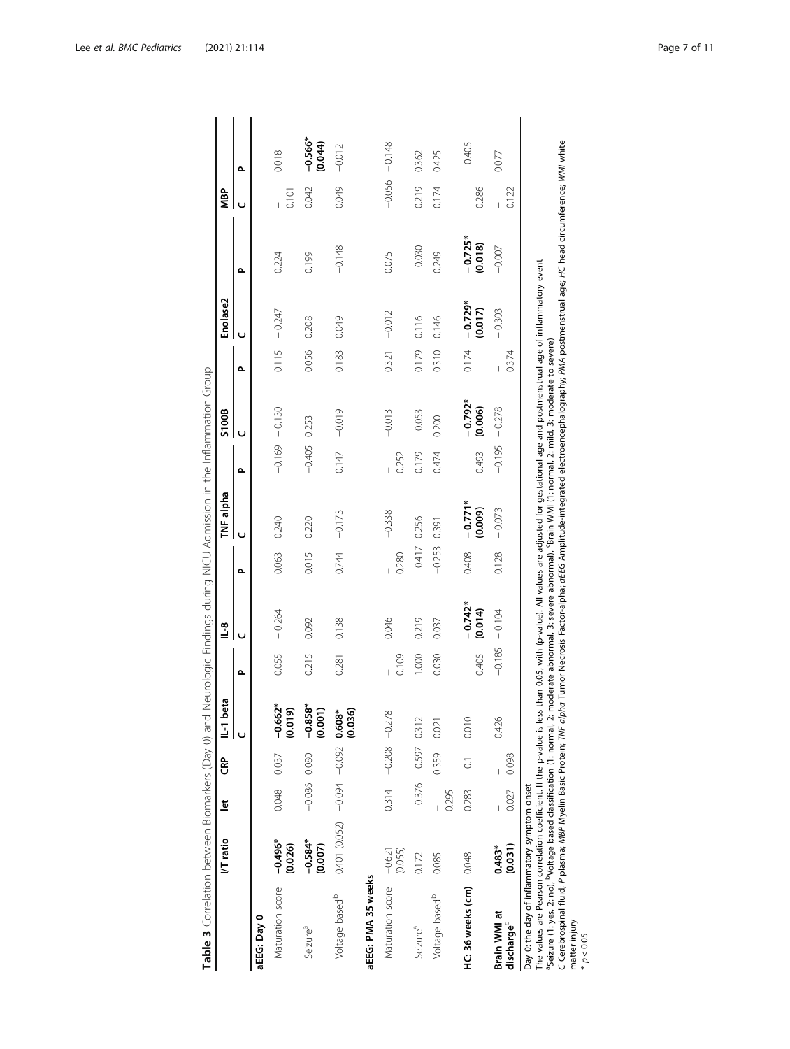|                                                                                                                                                                                                                                                                                                                                                                                                                    | I/T ratio                           | ă              | සි                      | IL-1 beta                        |          | $\frac{8}{1}$        |                | TNF alpha                                                                                                                                                                                                                     |          | S100B                |       | Enolase2             |                      | MBP      |                      |
|--------------------------------------------------------------------------------------------------------------------------------------------------------------------------------------------------------------------------------------------------------------------------------------------------------------------------------------------------------------------------------------------------------------------|-------------------------------------|----------------|-------------------------|----------------------------------|----------|----------------------|----------------|-------------------------------------------------------------------------------------------------------------------------------------------------------------------------------------------------------------------------------|----------|----------------------|-------|----------------------|----------------------|----------|----------------------|
|                                                                                                                                                                                                                                                                                                                                                                                                                    |                                     |                |                         |                                  | ௳        | Ō                    | ۵              | Ü                                                                                                                                                                                                                             | م        |                      | ௳     | Ū                    | م                    |          | م                    |
| aEEG: Day 0                                                                                                                                                                                                                                                                                                                                                                                                        |                                     |                |                         |                                  |          |                      |                |                                                                                                                                                                                                                               |          |                      |       |                      |                      |          |                      |
| Maturation score - 0.496*                                                                                                                                                                                                                                                                                                                                                                                          | (0.026)                             | 0.048          | 0.037                   | $-0.662*$<br>(610.0)             | 0.055    | $-0.264$             | 0.063          | 0.240                                                                                                                                                                                                                         |          | $-0.169 - 0.130$     | 0.115 | $-0.247$             | 0.224                | 0.101    | 0.018                |
| Seizure <sup>a</sup>                                                                                                                                                                                                                                                                                                                                                                                               | $-0.584*$<br>(0.007)                | $-0.086$ 0.080 |                         | $-0.858$ <sup>+</sup><br>(0.001) | 0.215    | 0.092                | 0.015          | 0.220                                                                                                                                                                                                                         | $-0.405$ | 0.253                | 0.056 | 0.208                | 0.199                | 0.042    | $-0.566*$<br>(0.044) |
| Voltage based <sup>b</sup>                                                                                                                                                                                                                                                                                                                                                                                         | $0.401(0.052) -0.094 -0.092$ 0.608* |                |                         | (0.036)                          | 0.281    | 0.138                | 0.744          | $-0.173$                                                                                                                                                                                                                      | 0.147    | $-0.019$             | 0.183 | 0.049                | $-0.148$             | 0.049    | $-0.012$             |
| aEEG: PMA 35 weeks                                                                                                                                                                                                                                                                                                                                                                                                 |                                     |                |                         |                                  |          |                      |                |                                                                                                                                                                                                                               |          |                      |       |                      |                      |          |                      |
| Maturation score                                                                                                                                                                                                                                                                                                                                                                                                   | (0.055)<br>$-0.621$                 | 0.314          | $-0.208 - 0.278$        |                                  | 0.109    | 0.046                | 0.280          | $-0.338$                                                                                                                                                                                                                      | 0.252    | $-0.013$             | 0.321 | $-0.012$             | 0.075                | $-0.056$ | $-0.148$             |
| Seizure <sup>a</sup>                                                                                                                                                                                                                                                                                                                                                                                               | 0.172                               |                | $-0.376$ $-0.597$ 0.312 |                                  | 1.000    | 0.219                | $-0.417$ 0.256 |                                                                                                                                                                                                                               | 0.179    | $-0.053$             | 0.179 | 0.116                | $-0.030$             | 0.219    | 0.362                |
| Voltage based <sup>b</sup>                                                                                                                                                                                                                                                                                                                                                                                         | 0.085                               | 0.295          | 0.359 0.021             |                                  | 0.030    | 0.037                | $-0.253$       | 0.391                                                                                                                                                                                                                         | 0.474    | 0.200                | 0.310 | 0.146                | 0.249                | 0.174    | 0.425                |
| HC: 36 weeks (cm) 0.048                                                                                                                                                                                                                                                                                                                                                                                            |                                     | 0.283          | $-0.1$                  | 0.010                            | 0.405    | $-0.742*$<br>(0.014) | 0.408          | $-0.771*$<br>(0.009)                                                                                                                                                                                                          | 0.493    | $-0.792*$<br>(0.006) | 0.174 | $-0.729*$<br>(0.017) | $-0.725*$<br>(0.018) | 0.286    | $-0.405$             |
| Brain WMI at<br>discharge <sup>\</sup>                                                                                                                                                                                                                                                                                                                                                                             | (0.031)<br>$0.483*$                 | 0.027          | 0.098                   | 0.426                            | $-0.185$ | $-0.104$             | 0.128          | $-0.073$                                                                                                                                                                                                                      | $-0.195$ | $-0.278$             | 0.374 | $-0.303$             | $-0.007$             | 0.122    | 0.077                |
| The values are Pearson correlation coefficient. If the p-value is less than 0.05, with (p-value). All values are adjusted for gestational age and postmenstrual age of inflammatory event<br>"Seizure (1: yes, 2: no), "Voltage based classification (1: normal, 2: moderate abnormal, 3: severe abnormal), 'Brain WMI (1: normal, 2: mild, 3: moderate to severe)<br>Day 0: the day of inflammatory symptom onset |                                     |                |                         |                                  |          |                      |                | Condential Design Davis Deits Det Enlische The The Ender Eine Enter Enter der Enter der dem den der Anten der Manner der Eine der Eine der Eine der Eine Das der Eine Das der Eine Das der Eine Das der Eine Das der Eine Das |          |                      |       |                      |                      |          |                      |

Table 3 Correlation between Biomarkers (Day 0) and Neurologic Findings during NICU Admission in the Inflammation Group Table 3 Correlation between Biomarkers (Day 0) and Neurologic Findings during NICU Admission in the Inflammation Group

electroencephalography; PMA postmenstrual age; HC head circumference; WMI white C Cerebrospinal fluid; P plasma; MBP Myelin Basic Protein; TNF alpha Tumor Necrosis Factor-alpha; aEEG Amplitude-integrated electroencephalography; PMA postmenstrual age; HC head circumference; WMI white integrated Amplitude -alpha; at EG **Vecrosis Factor** lumor alpha Protein; /WH Basic Myelin plasma; *MBP* matter injury C Cerebro<br>matter in<br>\* *p* < 0.05

<span id="page-6-0"></span>Lee et al. BMC Pediatrics (2021) 21:114 Page 7 of 11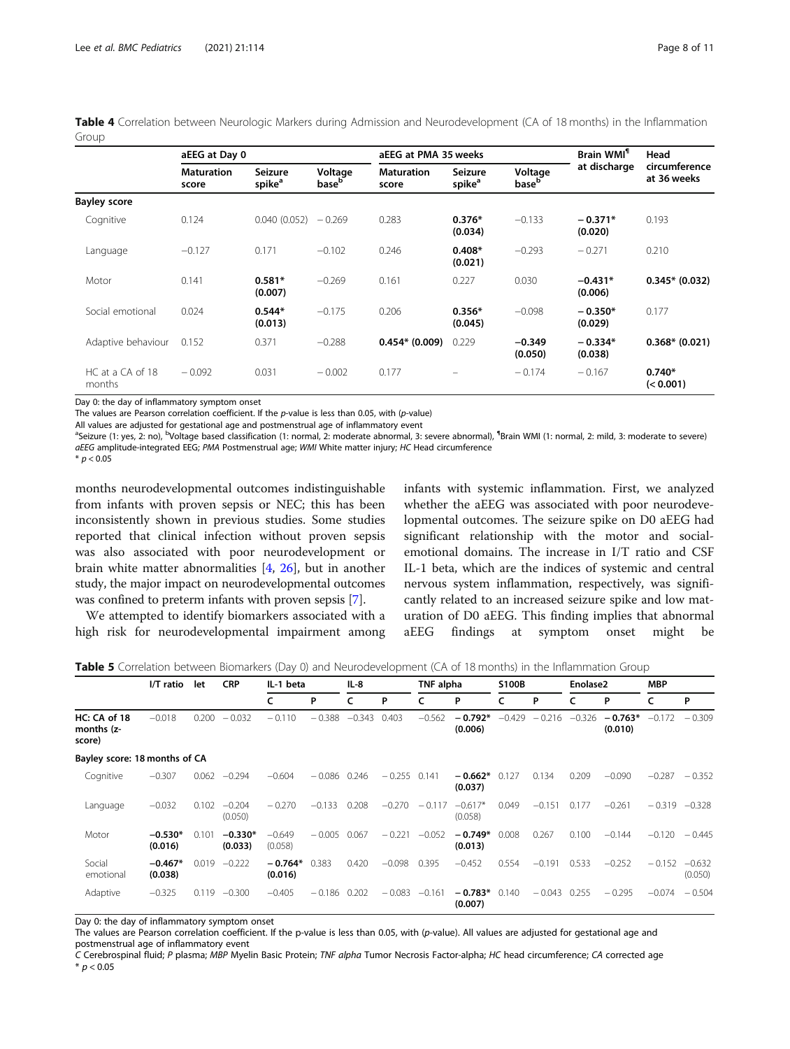<span id="page-7-0"></span>Table 4 Correlation between Neurologic Markers during Admission and Neurodevelopment (CA of 18 months) in the Inflammation Group

|                            | aEEG at Day 0              |                                      |                              | aEEG at PMA 35 weeks       |                               |                              | Brain WMI <sup>1</sup> | Head                         |  |
|----------------------------|----------------------------|--------------------------------------|------------------------------|----------------------------|-------------------------------|------------------------------|------------------------|------------------------------|--|
|                            | <b>Maturation</b><br>score | <b>Seizure</b><br>spike <sup>a</sup> | Voltage<br>base <sup>b</sup> | <b>Maturation</b><br>score | Seizure<br>spike <sup>a</sup> | Voltage<br>base <sup>b</sup> | at discharge           | circumference<br>at 36 weeks |  |
| <b>Bayley score</b>        |                            |                                      |                              |                            |                               |                              |                        |                              |  |
| Cognitive                  | 0.124                      | 0.040(0.052)                         | $-0.269$                     | 0.283                      | $0.376*$<br>(0.034)           | $-0.133$                     | $-0.371*$<br>(0.020)   | 0.193                        |  |
| Language                   | $-0.127$                   | 0.171                                | $-0.102$                     | 0.246                      | $0.408*$<br>(0.021)           | $-0.293$                     | $-0.271$               | 0.210                        |  |
| Motor                      | 0.141                      | $0.581*$<br>(0.007)                  | $-0.269$                     | 0.161                      | 0.227                         | 0.030                        | $-0.431*$<br>(0.006)   | $0.345* (0.032)$             |  |
| Social emotional           | 0.024                      | $0.544*$<br>(0.013)                  | $-0.175$                     | 0.206                      | $0.356*$<br>(0.045)           | $-0.098$                     | $-0.350*$<br>(0.029)   | 0.177                        |  |
| Adaptive behaviour         | 0.152                      | 0.371                                | $-0.288$                     | $0.454* (0.009)$           | 0.229                         | $-0.349$<br>(0.050)          | $-0.334*$<br>(0.038)   | $0.368* (0.021)$             |  |
| HC at a CA of 18<br>months | $-0.092$                   | 0.031                                | $-0.002$                     | 0.177                      |                               | $-0.174$                     | $-0.167$               | $0.740*$<br>(< 0.001)        |  |

Day 0: the day of inflammatory symptom onset

The values are Pearson correlation coefficient. If the p-value is less than 0.05, with (p-value)

All values are adjusted for gestational age and postmenstrual age of inflammatory event

<sup>a</sup>Seizure (1: yes, 2: no), <sup>b</sup>Voltage based classification (1: normal, 2: moderate abnormal, 3: severe abnormal), <sup>1</sup>Brain WMI (1: normal, 2: mild, 3: moderate to severe) aEEG amplitude-integrated EEG; PMA Postmenstrual age; WMI White matter injury; HC Head circumference

 $* p < 0.05$ 

months neurodevelopmental outcomes indistinguishable from infants with proven sepsis or NEC; this has been inconsistently shown in previous studies. Some studies reported that clinical infection without proven sepsis was also associated with poor neurodevelopment or brain white matter abnormalities [\[4](#page-9-0), [26](#page-9-0)], but in another study, the major impact on neurodevelopmental outcomes was confined to preterm infants with proven sepsis [[7\]](#page-9-0).

We attempted to identify biomarkers associated with a high risk for neurodevelopmental impairment among

infants with systemic inflammation. First, we analyzed whether the aEEG was associated with poor neurodevelopmental outcomes. The seizure spike on D0 aEEG had significant relationship with the motor and socialemotional domains. The increase in I/T ratio and CSF IL-1 beta, which are the indices of systemic and central nervous system inflammation, respectively, was significantly related to an increased seizure spike and low maturation of D0 aEEG. This finding implies that abnormal aEEG findings at symptom onset might be

**Table 5** Correlation between Biomarkers (Day 0) and Neurodevelopment (CA of 18 months) in the Inflammation Group

|                                      | I/T ratio<br>let     | <b>CRP</b> | IL-1 beta            |                      | $IL-8$   |          | TNF alpha |          | S100B                |          | Enolase2 |          | <b>MBP</b>           |          |                     |
|--------------------------------------|----------------------|------------|----------------------|----------------------|----------|----------|-----------|----------|----------------------|----------|----------|----------|----------------------|----------|---------------------|
|                                      |                      |            |                      | c                    | P        | c        | P         |          | P                    |          | P        |          | P                    |          | P                   |
| HC: CA of 18<br>months (z-<br>score) | $-0.018$             | 0.200      | $-0.032$             | $-0.110$             | $-0.388$ | $-0.343$ | 0.403     | $-0.562$ | $-0.792*$<br>(0.006) | $-0.429$ | $-0.216$ | $-0.326$ | $-0.763*$<br>(0.010) | $-0.172$ | $-0.309$            |
| Bayley score: 18 months of CA        |                      |            |                      |                      |          |          |           |          |                      |          |          |          |                      |          |                     |
| Cognitive                            | $-0.307$             | 0.062      | $-0.294$             | $-0.604$             | $-0.086$ | 0.246    | $-0.255$  | 0.141    | $-0.662*$<br>(0.037) | 0.127    | 0.134    | 0.209    | $-0.090$             | $-0.287$ | $-0.352$            |
| Language                             | $-0.032$             | 0.102      | $-0.204$<br>(0.050)  | $-0.270$             | $-0.133$ | 0.208    | $-0.270$  | $-0.117$ | $-0.617*$<br>(0.058) | 0.049    | $-0.151$ | 0.177    | $-0.261$             | $-0.319$ | $-0.328$            |
| Motor                                | $-0.530*$<br>(0.016) | 0.101      | $-0.330*$<br>(0.033) | $-0.649$<br>(0.058)  | $-0.005$ | 0.067    | $-0.221$  | $-0.052$ | $-0.749*$<br>(0.013) | 0.008    | 0.267    | 0.100    | $-0.144$             | $-0.120$ | $-0.445$            |
| Social<br>emotional                  | $-0.467*$<br>(0.038) | 0.019      | $-0.222$             | $-0.764*$<br>(0.016) | 0.383    | 0.420    | $-0.098$  | 0.395    | $-0.452$             | 0.554    | $-0.191$ | 0.533    | $-0.252$             | $-0.152$ | $-0.632$<br>(0.050) |
| Adaptive                             | $-0.325$             | 0.119      | $-0.300$             | $-0.405$             | $-0.186$ | 0.202    | $-0.083$  | $-0.161$ | $-0.783*$<br>(0.007) | 0.140    | $-0.043$ | 0.255    | $-0.295$             | $-0.074$ | $-0.504$            |

Day 0: the day of inflammatory symptom onset

The values are Pearson correlation coefficient. If the p-value is less than 0.05, with (p-value). All values are adjusted for gestational age and postmenstrual age of inflammatory event

C Cerebrospinal fluid; P plasma; MBP Myelin Basic Protein; TNF alpha Tumor Necrosis Factor-alpha; HC head circumference; CA corrected age  $*$   $p < 0.05$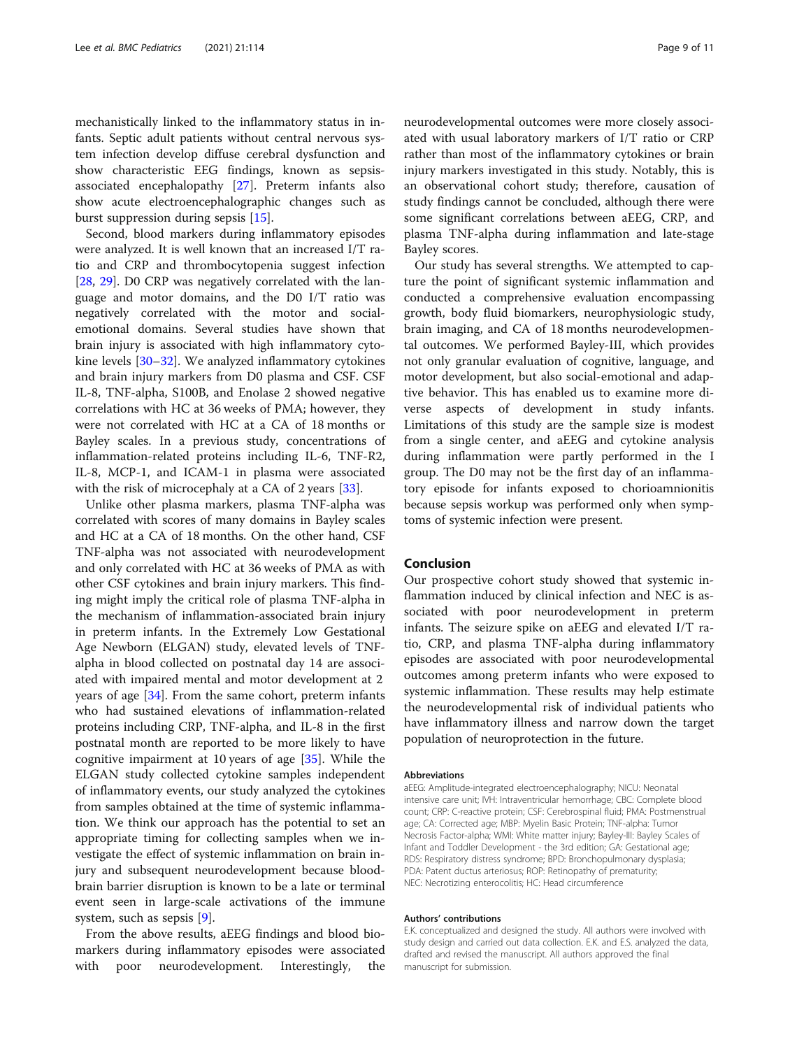mechanistically linked to the inflammatory status in infants. Septic adult patients without central nervous system infection develop diffuse cerebral dysfunction and show characteristic EEG findings, known as sepsisassociated encephalopathy [\[27](#page-9-0)]. Preterm infants also show acute electroencephalographic changes such as burst suppression during sepsis [\[15](#page-9-0)].

Second, blood markers during inflammatory episodes were analyzed. It is well known that an increased I/T ratio and CRP and thrombocytopenia suggest infection [[28,](#page-9-0) [29\]](#page-9-0). D0 CRP was negatively correlated with the language and motor domains, and the D0 I/T ratio was negatively correlated with the motor and socialemotional domains. Several studies have shown that brain injury is associated with high inflammatory cytokine levels [\[30](#page-9-0)–[32\]](#page-9-0). We analyzed inflammatory cytokines and brain injury markers from D0 plasma and CSF. CSF IL-8, TNF-alpha, S100B, and Enolase 2 showed negative correlations with HC at 36 weeks of PMA; however, they were not correlated with HC at a CA of 18 months or Bayley scales. In a previous study, concentrations of inflammation-related proteins including IL-6, TNF-R2, IL-8, MCP-1, and ICAM-1 in plasma were associated with the risk of microcephaly at a CA of 2 years [[33](#page-9-0)].

Unlike other plasma markers, plasma TNF-alpha was correlated with scores of many domains in Bayley scales and HC at a CA of 18 months. On the other hand, CSF TNF-alpha was not associated with neurodevelopment and only correlated with HC at 36 weeks of PMA as with other CSF cytokines and brain injury markers. This finding might imply the critical role of plasma TNF-alpha in the mechanism of inflammation-associated brain injury in preterm infants. In the Extremely Low Gestational Age Newborn (ELGAN) study, elevated levels of TNFalpha in blood collected on postnatal day 14 are associated with impaired mental and motor development at 2 years of age [\[34](#page-10-0)]. From the same cohort, preterm infants who had sustained elevations of inflammation-related proteins including CRP, TNF-alpha, and IL-8 in the first postnatal month are reported to be more likely to have cognitive impairment at 10 years of age [[35\]](#page-10-0). While the ELGAN study collected cytokine samples independent of inflammatory events, our study analyzed the cytokines from samples obtained at the time of systemic inflammation. We think our approach has the potential to set an appropriate timing for collecting samples when we investigate the effect of systemic inflammation on brain injury and subsequent neurodevelopment because bloodbrain barrier disruption is known to be a late or terminal event seen in large-scale activations of the immune system, such as sepsis [[9\]](#page-9-0).

From the above results, aEEG findings and blood biomarkers during inflammatory episodes were associated with poor neurodevelopment. Interestingly, the neurodevelopmental outcomes were more closely associated with usual laboratory markers of I/T ratio or CRP rather than most of the inflammatory cytokines or brain injury markers investigated in this study. Notably, this is an observational cohort study; therefore, causation of study findings cannot be concluded, although there were some significant correlations between aEEG, CRP, and plasma TNF-alpha during inflammation and late-stage Bayley scores.

Our study has several strengths. We attempted to capture the point of significant systemic inflammation and conducted a comprehensive evaluation encompassing growth, body fluid biomarkers, neurophysiologic study, brain imaging, and CA of 18 months neurodevelopmental outcomes. We performed Bayley-III, which provides not only granular evaluation of cognitive, language, and motor development, but also social-emotional and adaptive behavior. This has enabled us to examine more diverse aspects of development in study infants. Limitations of this study are the sample size is modest from a single center, and aEEG and cytokine analysis during inflammation were partly performed in the I group. The D0 may not be the first day of an inflammatory episode for infants exposed to chorioamnionitis because sepsis workup was performed only when symptoms of systemic infection were present.

#### Conclusion

Our prospective cohort study showed that systemic inflammation induced by clinical infection and NEC is associated with poor neurodevelopment in preterm infants. The seizure spike on aEEG and elevated I/T ratio, CRP, and plasma TNF-alpha during inflammatory episodes are associated with poor neurodevelopmental outcomes among preterm infants who were exposed to systemic inflammation. These results may help estimate the neurodevelopmental risk of individual patients who have inflammatory illness and narrow down the target population of neuroprotection in the future.

#### Abbreviations

aEEG: Amplitude-integrated electroencephalography; NICU: Neonatal intensive care unit; IVH: Intraventricular hemorrhage; CBC: Complete blood count; CRP: C-reactive protein; CSF: Cerebrospinal fluid; PMA: Postmenstrual age; CA: Corrected age; MBP: Myelin Basic Protein; TNF-alpha: Tumor Necrosis Factor-alpha; WMI: White matter injury; Bayley-III: Bayley Scales of Infant and Toddler Development - the 3rd edition; GA: Gestational age; RDS: Respiratory distress syndrome; BPD: Bronchopulmonary dysplasia; PDA: Patent ductus arteriosus; ROP: Retinopathy of prematurity; NEC: Necrotizing enterocolitis; HC: Head circumference

#### Authors' contributions

E.K. conceptualized and designed the study. All authors were involved with study design and carried out data collection. E.K. and E.S. analyzed the data, drafted and revised the manuscript. All authors approved the final manuscript for submission.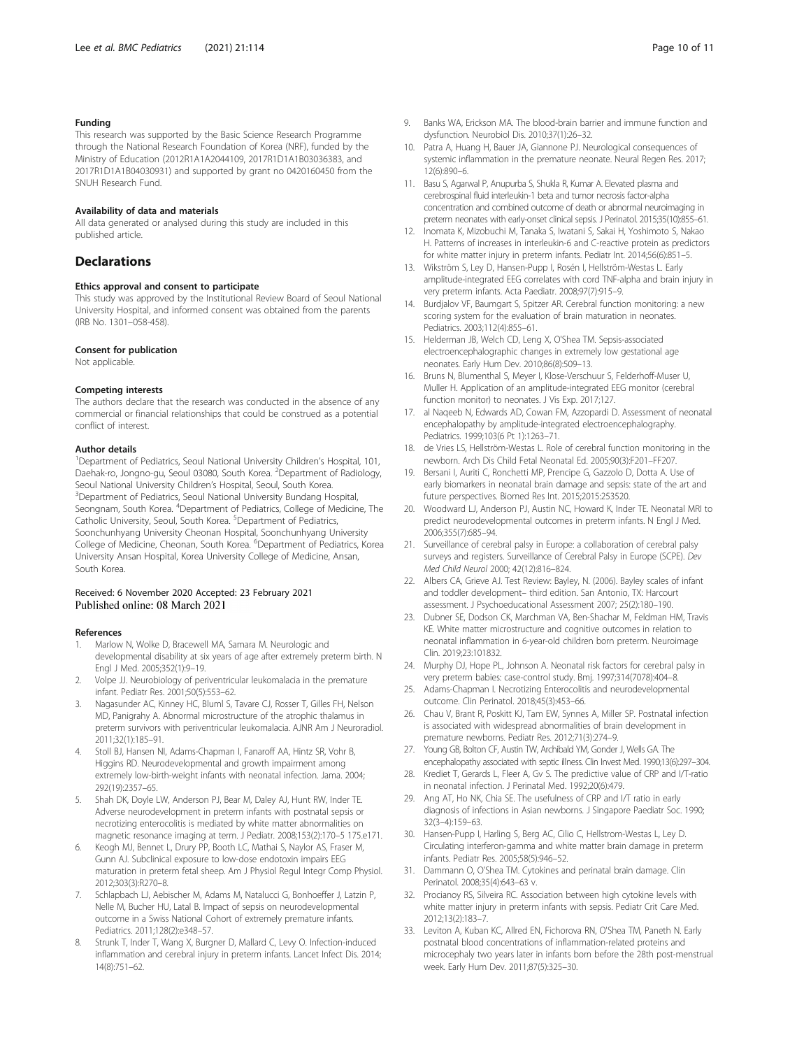#### <span id="page-9-0"></span>Funding

This research was supported by the Basic Science Research Programme through the National Research Foundation of Korea (NRF), funded by the Ministry of Education (2012R1A1A2044109, 2017R1D1A1B03036383, and 2017R1D1A1B04030931) and supported by grant no 0420160450 from the SNUH Research Fund.

#### Availability of data and materials

All data generated or analysed during this study are included in this published article.

#### **Declarations**

#### Ethics approval and consent to participate

This study was approved by the Institutional Review Board of Seoul National University Hospital, and informed consent was obtained from the parents (IRB No. 1301–058-458).

#### Consent for publication

Not applicable.

#### Competing interests

The authors declare that the research was conducted in the absence of any commercial or financial relationships that could be construed as a potential conflict of interest.

#### Author details

<sup>1</sup>Department of Pediatrics, Seoul National University Children's Hospital, 101, Daehak-ro, Jongno-gu, Seoul 03080, South Korea. <sup>2</sup>Department of Radiology, Seoul National University Children's Hospital, Seoul, South Korea. <sup>3</sup>Department of Pediatrics, Seoul National University Bundang Hospital, Seongnam, South Korea. <sup>4</sup>Department of Pediatrics, College of Medicine, The Catholic University, Seoul, South Korea. <sup>5</sup>Department of Pediatrics, Soonchunhyang University Cheonan Hospital, Soonchunhyang University College of Medicine, Cheonan, South Korea. <sup>6</sup>Department of Pediatrics, Korea University Ansan Hospital, Korea University College of Medicine, Ansan, South Korea.

#### Received: 6 November 2020 Accepted: 23 February 2021 Published online: 08 March 2021

#### References

- 1. Marlow N, Wolke D, Bracewell MA, Samara M. Neurologic and developmental disability at six years of age after extremely preterm birth. N Engl J Med. 2005;352(1):9–19.
- 2. Volpe JJ. Neurobiology of periventricular leukomalacia in the premature infant. Pediatr Res. 2001;50(5):553–62.
- 3. Nagasunder AC, Kinney HC, Bluml S, Tavare CJ, Rosser T, Gilles FH, Nelson MD, Panigrahy A. Abnormal microstructure of the atrophic thalamus in preterm survivors with periventricular leukomalacia. AJNR Am J Neuroradiol. 2011;32(1):185–91.
- Stoll BJ, Hansen NI, Adams-Chapman I, Fanaroff AA, Hintz SR, Vohr B, Higgins RD. Neurodevelopmental and growth impairment among extremely low-birth-weight infants with neonatal infection. Jama. 2004; 292(19):2357–65.
- 5. Shah DK, Doyle LW, Anderson PJ, Bear M, Daley AJ, Hunt RW, Inder TE. Adverse neurodevelopment in preterm infants with postnatal sepsis or necrotizing enterocolitis is mediated by white matter abnormalities on magnetic resonance imaging at term. J Pediatr. 2008;153(2):170–5 175.e171.
- 6. Keogh MJ, Bennet L, Drury PP, Booth LC, Mathai S, Naylor AS, Fraser M, Gunn AJ. Subclinical exposure to low-dose endotoxin impairs EEG maturation in preterm fetal sheep. Am J Physiol Regul Integr Comp Physiol. 2012;303(3):R270–8.
- 7. Schlapbach LJ, Aebischer M, Adams M, Natalucci G, Bonhoeffer J, Latzin P, Nelle M, Bucher HU, Latal B. Impact of sepsis on neurodevelopmental outcome in a Swiss National Cohort of extremely premature infants. Pediatrics. 2011;128(2):e348–57.
- Strunk T, Inder T, Wang X, Burgner D, Mallard C, Levy O. Infection-induced inflammation and cerebral injury in preterm infants. Lancet Infect Dis. 2014; 14(8):751–62.
- 9. Banks WA, Erickson MA. The blood-brain barrier and immune function and dysfunction. Neurobiol Dis. 2010;37(1):26–32.
- 10. Patra A, Huang H, Bauer JA, Giannone PJ. Neurological consequences of systemic inflammation in the premature neonate. Neural Regen Res. 2017; 12(6):890–6.
- 11. Basu S, Agarwal P, Anupurba S, Shukla R, Kumar A. Elevated plasma and cerebrospinal fluid interleukin-1 beta and tumor necrosis factor-alpha concentration and combined outcome of death or abnormal neuroimaging in preterm neonates with early-onset clinical sepsis. J Perinatol. 2015;35(10):855–61.
- 12. Inomata K, Mizobuchi M, Tanaka S, Iwatani S, Sakai H, Yoshimoto S, Nakao H. Patterns of increases in interleukin-6 and C-reactive protein as predictors for white matter injury in preterm infants. Pediatr Int. 2014;56(6):851–5.
- 13. Wikström S, Ley D, Hansen-Pupp I, Rosén I, Hellström-Westas L. Early amplitude-integrated EEG correlates with cord TNF-alpha and brain injury in very preterm infants. Acta Paediatr. 2008;97(7):915–9.
- 14. Burdjalov VF, Baumgart S, Spitzer AR. Cerebral function monitoring: a new scoring system for the evaluation of brain maturation in neonates. Pediatrics. 2003;112(4):855–61.
- 15. Helderman JB, Welch CD, Leng X, O'Shea TM. Sepsis-associated electroencephalographic changes in extremely low gestational age neonates. Early Hum Dev. 2010;86(8):509–13.
- 16. Bruns N, Blumenthal S, Meyer I, Klose-Verschuur S, Felderhoff-Muser U, Muller H. Application of an amplitude-integrated EEG monitor (cerebral function monitor) to neonates. J Vis Exp. 2017;127.
- 17. al Naqeeb N, Edwards AD, Cowan FM, Azzopardi D. Assessment of neonatal encephalopathy by amplitude-integrated electroencephalography. Pediatrics. 1999;103(6 Pt 1):1263–71.
- 18. de Vries LS, Hellström-Westas L. Role of cerebral function monitoring in the newborn. Arch Dis Child Fetal Neonatal Ed. 2005;90(3):F201–FF207.
- 19. Bersani I, Auriti C, Ronchetti MP, Prencipe G, Gazzolo D, Dotta A. Use of early biomarkers in neonatal brain damage and sepsis: state of the art and future perspectives. Biomed Res Int. 2015;2015:253520.
- 20. Woodward LJ, Anderson PJ, Austin NC, Howard K, Inder TE. Neonatal MRI to predict neurodevelopmental outcomes in preterm infants. N Engl J Med. 2006;355(7):685–94.
- 21. Surveillance of cerebral palsy in Europe: a collaboration of cerebral palsy surveys and registers. Surveillance of Cerebral Palsy in Europe (SCPE). Dev Med Child Neurol 2000; 42(12):816–824.
- 22. Albers CA, Grieve AJ. Test Review: Bayley, N. (2006). Bayley scales of infant and toddler development– third edition. San Antonio, TX: Harcourt assessment. J Psychoeducational Assessment 2007; 25(2):180–190.
- 23. Dubner SE, Dodson CK, Marchman VA, Ben-Shachar M, Feldman HM, Travis KE. White matter microstructure and cognitive outcomes in relation to neonatal inflammation in 6-year-old children born preterm. Neuroimage Clin. 2019;23:101832.
- 24. Murphy DJ, Hope PL, Johnson A. Neonatal risk factors for cerebral palsy in very preterm babies: case-control study. Bmj. 1997;314(7078):404–8.
- 25. Adams-Chapman I. Necrotizing Enterocolitis and neurodevelopmental outcome. Clin Perinatol. 2018;45(3):453–66.
- 26. Chau V, Brant R, Poskitt KJ, Tam EW, Synnes A, Miller SP. Postnatal infection is associated with widespread abnormalities of brain development in premature newborns. Pediatr Res. 2012;71(3):274–9.
- 27. Young GB, Bolton CF, Austin TW, Archibald YM, Gonder J, Wells GA. The encephalopathy associated with septic illness. Clin Invest Med. 1990;13(6):297–304.
- 28. Krediet T, Gerards L, Fleer A, Gv S. The predictive value of CRP and I/T-ratio in neonatal infection. J Perinatal Med. 1992;20(6):479.
- 29. Ang AT, Ho NK, Chia SE. The usefulness of CRP and I/T ratio in early diagnosis of infections in Asian newborns. J Singapore Paediatr Soc. 1990; 32(3–4):159–63.
- 30. Hansen-Pupp I, Harling S, Berg AC, Cilio C, Hellstrom-Westas L, Ley D. Circulating interferon-gamma and white matter brain damage in preterm infants. Pediatr Res. 2005;58(5):946–52.
- 31. Dammann O, O'Shea TM. Cytokines and perinatal brain damage. Clin Perinatol. 2008;35(4):643–63 v.
- 32. Procianoy RS, Silveira RC. Association between high cytokine levels with white matter injury in preterm infants with sepsis. Pediatr Crit Care Med. 2012;13(2):183–7.
- 33. Leviton A, Kuban KC, Allred EN, Fichorova RN, O'Shea TM, Paneth N. Early postnatal blood concentrations of inflammation-related proteins and microcephaly two years later in infants born before the 28th post-menstrual week. Early Hum Dev. 2011;87(5):325–30.